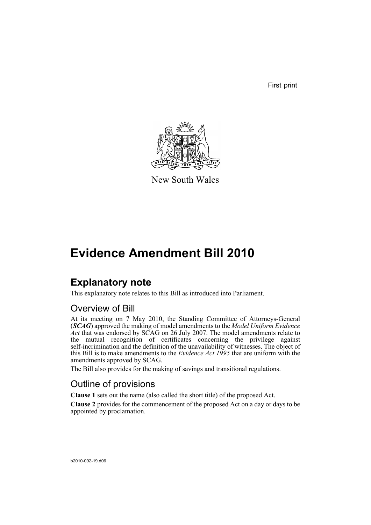First print



New South Wales

# **Evidence Amendment Bill 2010**

# **Explanatory note**

This explanatory note relates to this Bill as introduced into Parliament.

## Overview of Bill

At its meeting on 7 May 2010, the Standing Committee of Attorneys-General (*SCAG*) approved the making of model amendments to the *Model Uniform Evidence Act* that was endorsed by SCAG on 26 July 2007. The model amendments relate to the mutual recognition of certificates concerning the privilege against self-incrimination and the definition of the unavailability of witnesses. The object of this Bill is to make amendments to the *Evidence Act 1995* that are uniform with the amendments approved by SCAG.

The Bill also provides for the making of savings and transitional regulations.

## Outline of provisions

**Clause 1** sets out the name (also called the short title) of the proposed Act.

**Clause 2** provides for the commencement of the proposed Act on a day or days to be appointed by proclamation.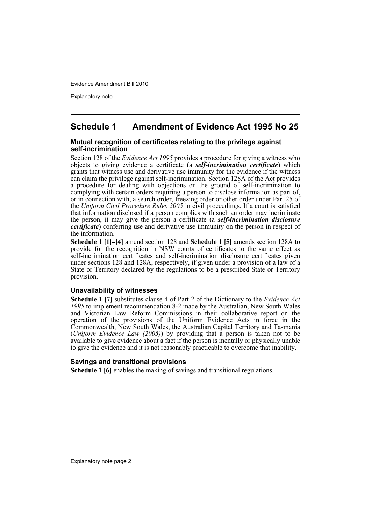Explanatory note

## **Schedule 1 Amendment of Evidence Act 1995 No 25**

#### **Mutual recognition of certificates relating to the privilege against self-incrimination**

Section 128 of the *Evidence Act 1995* provides a procedure for giving a witness who objects to giving evidence a certificate (a *self-incrimination certificate*) which grants that witness use and derivative use immunity for the evidence if the witness can claim the privilege against self-incrimination. Section 128A of the Act provides a procedure for dealing with objections on the ground of self-incrimination to complying with certain orders requiring a person to disclose information as part of, or in connection with, a search order, freezing order or other order under Part 25 of the *Uniform Civil Procedure Rules 2005* in civil proceedings. If a court is satisfied that information disclosed if a person complies with such an order may incriminate the person, it may give the person a certificate (a *self-incrimination disclosure certificate*) conferring use and derivative use immunity on the person in respect of the information.

**Schedule 1 [1]–[4]** amend section 128 and **Schedule 1 [5]** amends section 128A to provide for the recognition in NSW courts of certificates to the same effect as self-incrimination certificates and self-incrimination disclosure certificates given under sections 128 and 128A, respectively, if given under a provision of a law of a State or Territory declared by the regulations to be a prescribed State or Territory provision.

#### **Unavailability of witnesses**

**Schedule 1 [7]** substitutes clause 4 of Part 2 of the Dictionary to the *Evidence Act 1995* to implement recommendation 8-2 made by the Australian, New South Wales and Victorian Law Reform Commissions in their collaborative report on the operation of the provisions of the Uniform Evidence Acts in force in the Commonwealth, New South Wales, the Australian Capital Territory and Tasmania (*Uniform Evidence Law (2005)*) by providing that a person is taken not to be available to give evidence about a fact if the person is mentally or physically unable to give the evidence and it is not reasonably practicable to overcome that inability.

#### **Savings and transitional provisions**

**Schedule 1 [6]** enables the making of savings and transitional regulations.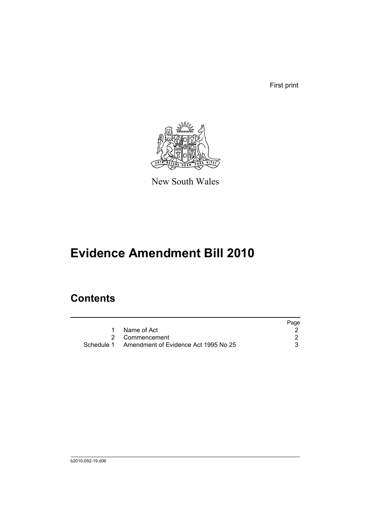First print



New South Wales

# **Evidence Amendment Bill 2010**

# **Contents**

|                                                 | Page |
|-------------------------------------------------|------|
| Name of Act                                     |      |
| 2 Commencement                                  |      |
| Schedule 1 Amendment of Evidence Act 1995 No 25 |      |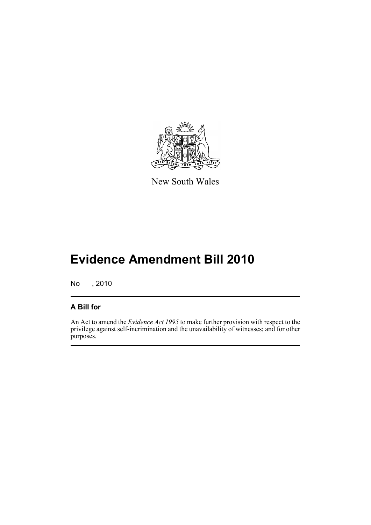

New South Wales

# **Evidence Amendment Bill 2010**

No , 2010

## **A Bill for**

An Act to amend the *Evidence Act 1995* to make further provision with respect to the privilege against self-incrimination and the unavailability of witnesses; and for other purposes.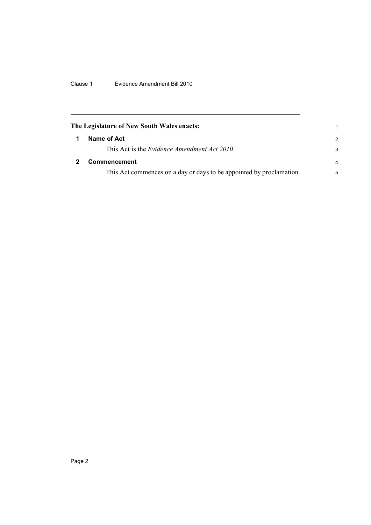Clause 1 Evidence Amendment Bill 2010

<span id="page-5-1"></span><span id="page-5-0"></span>

| The Legislature of New South Wales enacts: |                                                                      |               |
|--------------------------------------------|----------------------------------------------------------------------|---------------|
|                                            | Name of Act                                                          | $\mathcal{P}$ |
|                                            | This Act is the <i>Evidence Amendment Act 2010</i> .                 | 3             |
|                                            | Commencement                                                         | 4             |
|                                            | This Act commences on a day or days to be appointed by proclamation. | 5             |
|                                            |                                                                      |               |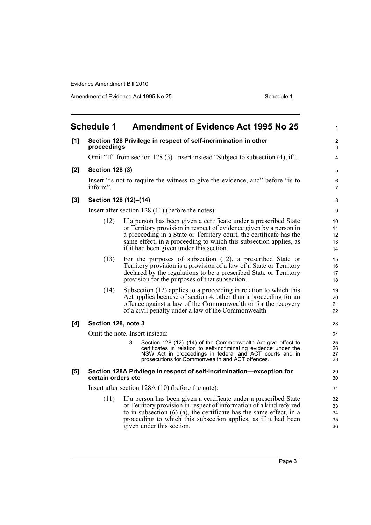Amendment of Evidence Act 1995 No 25 Schedule 1

<span id="page-6-0"></span>

| <b>Schedule 1</b><br><b>Amendment of Evidence Act 1995 No 25</b> |                                                    |                                                                                                                                                                                                                                                                                                                                 |                            |  |
|------------------------------------------------------------------|----------------------------------------------------|---------------------------------------------------------------------------------------------------------------------------------------------------------------------------------------------------------------------------------------------------------------------------------------------------------------------------------|----------------------------|--|
| [1]                                                              | proceedings                                        | Section 128 Privilege in respect of self-incrimination in other                                                                                                                                                                                                                                                                 | 2<br>3                     |  |
|                                                                  |                                                    | Omit "If" from section 128 (3). Insert instead "Subject to subsection (4), if".                                                                                                                                                                                                                                                 | 4                          |  |
| [2]                                                              | <b>Section 128 (3)</b>                             |                                                                                                                                                                                                                                                                                                                                 | 5                          |  |
|                                                                  | inform".                                           | Insert "is not to require the witness to give the evidence, and" before "is to                                                                                                                                                                                                                                                  | 6<br>7                     |  |
| [3]                                                              |                                                    | Section 128 (12)-(14)                                                                                                                                                                                                                                                                                                           | 8                          |  |
|                                                                  |                                                    | Insert after section $128(11)$ (before the notes):                                                                                                                                                                                                                                                                              | 9                          |  |
|                                                                  | (12)                                               | If a person has been given a certificate under a prescribed State<br>or Territory provision in respect of evidence given by a person in<br>a proceeding in a State or Territory court, the certificate has the<br>same effect, in a proceeding to which this subsection applies, as<br>if it had been given under this section. | 10<br>11<br>12<br>13<br>14 |  |
|                                                                  | (13)                                               | For the purposes of subsection $(12)$ , a prescribed State or<br>Territory provision is a provision of a law of a State or Territory<br>declared by the regulations to be a prescribed State or Territory<br>provision for the purposes of that subsection.                                                                     | 15<br>16<br>17<br>18       |  |
|                                                                  | (14)                                               | Subsection (12) applies to a proceeding in relation to which this<br>Act applies because of section 4, other than a proceeding for an<br>offence against a law of the Commonwealth or for the recovery<br>of a civil penalty under a law of the Commonwealth.                                                                   | 19<br>20<br>21<br>22       |  |
| [4]                                                              | Section 128, note 3                                |                                                                                                                                                                                                                                                                                                                                 | 23                         |  |
|                                                                  |                                                    | Omit the note. Insert instead:                                                                                                                                                                                                                                                                                                  | 24                         |  |
|                                                                  |                                                    | 3<br>Section 128 (12)–(14) of the Commonwealth Act give effect to<br>certificates in relation to self-incriminating evidence under the<br>NSW Act in proceedings in federal and ACT courts and in<br>prosecutions for Commonwealth and ACT offences.                                                                            | 25<br>26<br>27<br>28       |  |
| [5]                                                              | certain orders etc                                 | Section 128A Privilege in respect of self-incrimination-exception for                                                                                                                                                                                                                                                           | 29<br>30                   |  |
|                                                                  | Insert after section $128A(10)$ (before the note): |                                                                                                                                                                                                                                                                                                                                 | 31                         |  |
|                                                                  | (11)                                               | If a person has been given a certificate under a prescribed State<br>or Territory provision in respect of information of a kind referred<br>to in subsection $(6)$ (a), the certificate has the same effect, in a<br>proceeding to which this subsection applies, as if it had been<br>given under this section.                | 32<br>33<br>34<br>35<br>36 |  |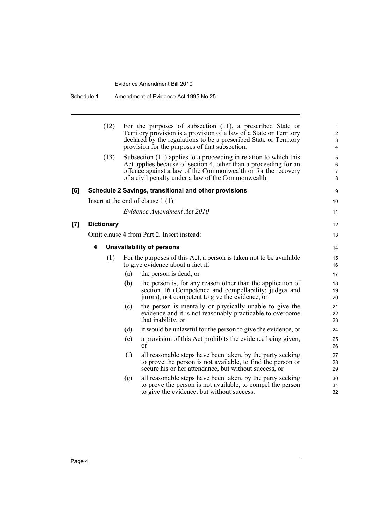|     | (12)              | For the purposes of subsection $(11)$ , a prescribed State or<br>Territory provision is a provision of a law of a State or Territory<br>declared by the regulations to be a prescribed State or Territory<br>provision for the purposes of that subsection.   | 1<br>$\overline{\mathbf{c}}$<br>3<br>4 |
|-----|-------------------|---------------------------------------------------------------------------------------------------------------------------------------------------------------------------------------------------------------------------------------------------------------|----------------------------------------|
|     | (13)              | Subsection (11) applies to a proceeding in relation to which this<br>Act applies because of section 4, other than a proceeding for an<br>offence against a law of the Commonwealth or for the recovery<br>of a civil penalty under a law of the Commonwealth. | 5<br>6<br>7<br>8                       |
| [6] |                   | Schedule 2 Savings, transitional and other provisions                                                                                                                                                                                                         | 9                                      |
|     |                   | Insert at the end of clause $1(1)$ :                                                                                                                                                                                                                          | 10                                     |
|     |                   | Evidence Amendment Act 2010                                                                                                                                                                                                                                   | 11                                     |
| [7] | <b>Dictionary</b> |                                                                                                                                                                                                                                                               | 12                                     |
|     |                   | Omit clause 4 from Part 2. Insert instead:                                                                                                                                                                                                                    | 13                                     |
|     | 4                 | <b>Unavailability of persons</b>                                                                                                                                                                                                                              | 14                                     |
|     | (1)               | For the purposes of this Act, a person is taken not to be available<br>to give evidence about a fact if:                                                                                                                                                      | 15<br>16                               |
|     |                   | (a)<br>the person is dead, or                                                                                                                                                                                                                                 | 17                                     |
|     |                   | (b)<br>the person is, for any reason other than the application of<br>section 16 (Competence and compellability: judges and<br>jurors), not competent to give the evidence, or                                                                                | 18<br>19<br>20                         |
|     |                   | the person is mentally or physically unable to give the<br>(c)<br>evidence and it is not reasonably practicable to overcome<br>that inability, or                                                                                                             | 21<br>22<br>23                         |
|     |                   | (d)<br>it would be unlawful for the person to give the evidence, or                                                                                                                                                                                           | 24                                     |
|     |                   | (e)<br>a provision of this Act prohibits the evidence being given,<br>or                                                                                                                                                                                      | 25<br>26                               |
|     |                   | (f)<br>all reasonable steps have been taken, by the party seeking<br>to prove the person is not available, to find the person or<br>secure his or her attendance, but without success, or                                                                     | 27<br>28<br>29                         |
|     |                   | all reasonable steps have been taken, by the party seeking<br>(g)<br>to prove the person is not available, to compel the person<br>to give the evidence, but without success.                                                                                 | 30<br>31<br>32                         |
|     |                   |                                                                                                                                                                                                                                                               |                                        |